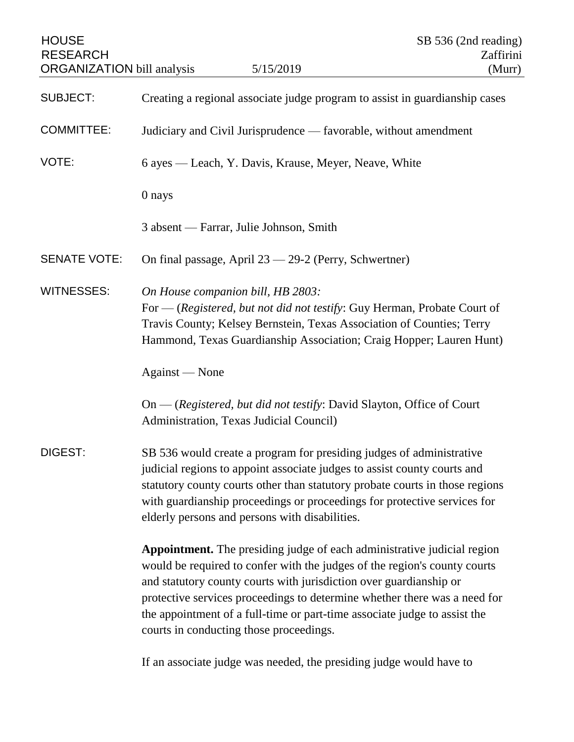| <b>HOUSE</b><br><b>RESEARCH</b><br><b>ORGANIZATION</b> bill analysis |                                                                                                                                                                                                                                                                                                                                                                | 5/15/2019                                                                                                                                                                                                                                                                                                                                                                            | SB 536 (2nd reading)<br>Zaffirini<br>(Murr) |
|----------------------------------------------------------------------|----------------------------------------------------------------------------------------------------------------------------------------------------------------------------------------------------------------------------------------------------------------------------------------------------------------------------------------------------------------|--------------------------------------------------------------------------------------------------------------------------------------------------------------------------------------------------------------------------------------------------------------------------------------------------------------------------------------------------------------------------------------|---------------------------------------------|
| <b>SUBJECT:</b>                                                      | Creating a regional associate judge program to assist in guardianship cases                                                                                                                                                                                                                                                                                    |                                                                                                                                                                                                                                                                                                                                                                                      |                                             |
| <b>COMMITTEE:</b>                                                    | Judiciary and Civil Jurisprudence — favorable, without amendment                                                                                                                                                                                                                                                                                               |                                                                                                                                                                                                                                                                                                                                                                                      |                                             |
| VOTE:                                                                | 6 ayes — Leach, Y. Davis, Krause, Meyer, Neave, White                                                                                                                                                                                                                                                                                                          |                                                                                                                                                                                                                                                                                                                                                                                      |                                             |
|                                                                      | 0 nays                                                                                                                                                                                                                                                                                                                                                         |                                                                                                                                                                                                                                                                                                                                                                                      |                                             |
|                                                                      | 3 absent — Farrar, Julie Johnson, Smith                                                                                                                                                                                                                                                                                                                        |                                                                                                                                                                                                                                                                                                                                                                                      |                                             |
| <b>SENATE VOTE:</b>                                                  |                                                                                                                                                                                                                                                                                                                                                                | On final passage, April 23 - 29-2 (Perry, Schwertner)                                                                                                                                                                                                                                                                                                                                |                                             |
| <b>WITNESSES:</b>                                                    | On House companion bill, HB 2803:                                                                                                                                                                                                                                                                                                                              | For - (Registered, but not did not testify: Guy Herman, Probate Court of<br>Travis County; Kelsey Bernstein, Texas Association of Counties; Terry<br>Hammond, Texas Guardianship Association; Craig Hopper; Lauren Hunt)                                                                                                                                                             |                                             |
|                                                                      | Against — None                                                                                                                                                                                                                                                                                                                                                 |                                                                                                                                                                                                                                                                                                                                                                                      |                                             |
|                                                                      | Administration, Texas Judicial Council)                                                                                                                                                                                                                                                                                                                        | On — (Registered, but did not testify: David Slayton, Office of Court                                                                                                                                                                                                                                                                                                                |                                             |
| DIGEST:                                                              | SB 536 would create a program for presiding judges of administrative<br>judicial regions to appoint associate judges to assist county courts and<br>statutory county courts other than statutory probate courts in those regions<br>with guardianship proceedings or proceedings for protective services for<br>elderly persons and persons with disabilities. |                                                                                                                                                                                                                                                                                                                                                                                      |                                             |
|                                                                      | courts in conducting those proceedings.                                                                                                                                                                                                                                                                                                                        | Appointment. The presiding judge of each administrative judicial region<br>would be required to confer with the judges of the region's county courts<br>and statutory county courts with jurisdiction over guardianship or<br>protective services proceedings to determine whether there was a need for<br>the appointment of a full-time or part-time associate judge to assist the |                                             |

If an associate judge was needed, the presiding judge would have to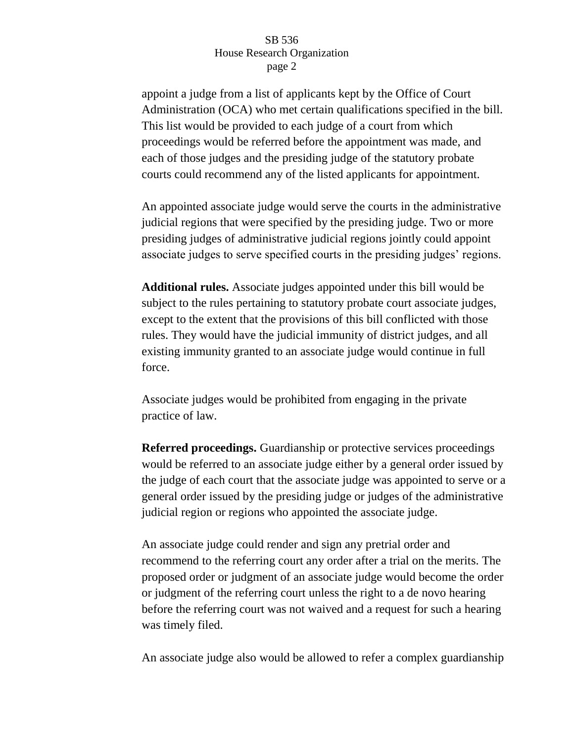appoint a judge from a list of applicants kept by the Office of Court Administration (OCA) who met certain qualifications specified in the bill. This list would be provided to each judge of a court from which proceedings would be referred before the appointment was made, and each of those judges and the presiding judge of the statutory probate courts could recommend any of the listed applicants for appointment.

An appointed associate judge would serve the courts in the administrative judicial regions that were specified by the presiding judge. Two or more presiding judges of administrative judicial regions jointly could appoint associate judges to serve specified courts in the presiding judges' regions.

**Additional rules.** Associate judges appointed under this bill would be subject to the rules pertaining to statutory probate court associate judges, except to the extent that the provisions of this bill conflicted with those rules. They would have the judicial immunity of district judges, and all existing immunity granted to an associate judge would continue in full force.

Associate judges would be prohibited from engaging in the private practice of law.

**Referred proceedings.** Guardianship or protective services proceedings would be referred to an associate judge either by a general order issued by the judge of each court that the associate judge was appointed to serve or a general order issued by the presiding judge or judges of the administrative judicial region or regions who appointed the associate judge.

An associate judge could render and sign any pretrial order and recommend to the referring court any order after a trial on the merits. The proposed order or judgment of an associate judge would become the order or judgment of the referring court unless the right to a de novo hearing before the referring court was not waived and a request for such a hearing was timely filed.

An associate judge also would be allowed to refer a complex guardianship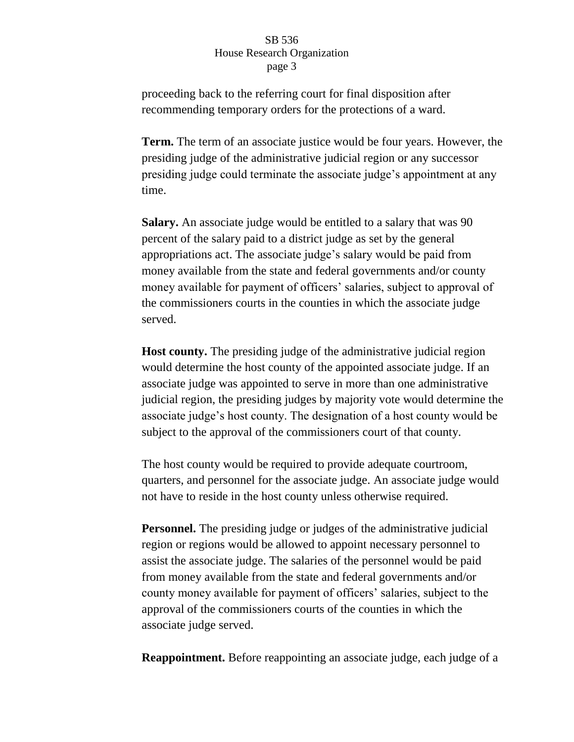proceeding back to the referring court for final disposition after recommending temporary orders for the protections of a ward.

**Term.** The term of an associate justice would be four years. However, the presiding judge of the administrative judicial region or any successor presiding judge could terminate the associate judge's appointment at any time.

**Salary.** An associate judge would be entitled to a salary that was 90 percent of the salary paid to a district judge as set by the general appropriations act. The associate judge's salary would be paid from money available from the state and federal governments and/or county money available for payment of officers' salaries, subject to approval of the commissioners courts in the counties in which the associate judge served.

**Host county.** The presiding judge of the administrative judicial region would determine the host county of the appointed associate judge. If an associate judge was appointed to serve in more than one administrative judicial region, the presiding judges by majority vote would determine the associate judge's host county. The designation of a host county would be subject to the approval of the commissioners court of that county.

The host county would be required to provide adequate courtroom, quarters, and personnel for the associate judge. An associate judge would not have to reside in the host county unless otherwise required.

**Personnel.** The presiding judge or judges of the administrative judicial region or regions would be allowed to appoint necessary personnel to assist the associate judge. The salaries of the personnel would be paid from money available from the state and federal governments and/or county money available for payment of officers' salaries, subject to the approval of the commissioners courts of the counties in which the associate judge served.

**Reappointment.** Before reappointing an associate judge, each judge of a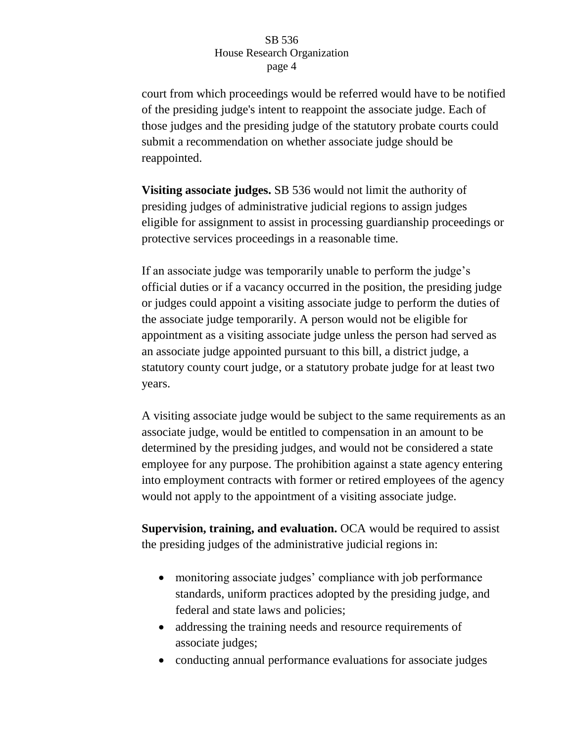court from which proceedings would be referred would have to be notified of the presiding judge's intent to reappoint the associate judge. Each of those judges and the presiding judge of the statutory probate courts could submit a recommendation on whether associate judge should be reappointed.

**Visiting associate judges.** SB 536 would not limit the authority of presiding judges of administrative judicial regions to assign judges eligible for assignment to assist in processing guardianship proceedings or protective services proceedings in a reasonable time.

If an associate judge was temporarily unable to perform the judge's official duties or if a vacancy occurred in the position, the presiding judge or judges could appoint a visiting associate judge to perform the duties of the associate judge temporarily. A person would not be eligible for appointment as a visiting associate judge unless the person had served as an associate judge appointed pursuant to this bill, a district judge, a statutory county court judge, or a statutory probate judge for at least two years.

A visiting associate judge would be subject to the same requirements as an associate judge, would be entitled to compensation in an amount to be determined by the presiding judges, and would not be considered a state employee for any purpose. The prohibition against a state agency entering into employment contracts with former or retired employees of the agency would not apply to the appointment of a visiting associate judge.

**Supervision, training, and evaluation.** OCA would be required to assist the presiding judges of the administrative judicial regions in:

- monitoring associate judges' compliance with job performance standards, uniform practices adopted by the presiding judge, and federal and state laws and policies;
- addressing the training needs and resource requirements of associate judges;
- conducting annual performance evaluations for associate judges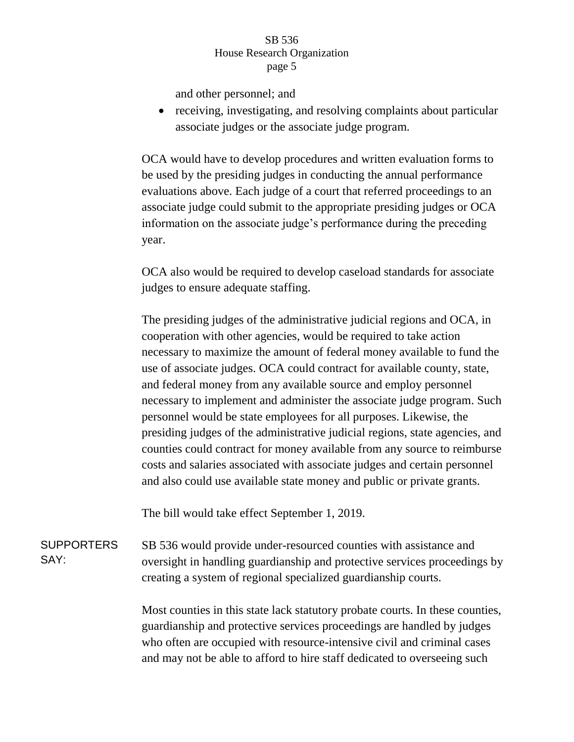and other personnel; and

• receiving, investigating, and resolving complaints about particular associate judges or the associate judge program.

OCA would have to develop procedures and written evaluation forms to be used by the presiding judges in conducting the annual performance evaluations above. Each judge of a court that referred proceedings to an associate judge could submit to the appropriate presiding judges or OCA information on the associate judge's performance during the preceding year.

OCA also would be required to develop caseload standards for associate judges to ensure adequate staffing.

The presiding judges of the administrative judicial regions and OCA, in cooperation with other agencies, would be required to take action necessary to maximize the amount of federal money available to fund the use of associate judges. OCA could contract for available county, state, and federal money from any available source and employ personnel necessary to implement and administer the associate judge program. Such personnel would be state employees for all purposes. Likewise, the presiding judges of the administrative judicial regions, state agencies, and counties could contract for money available from any source to reimburse costs and salaries associated with associate judges and certain personnel and also could use available state money and public or private grants.

The bill would take effect September 1, 2019.

**SUPPORTERS** SAY: SB 536 would provide under-resourced counties with assistance and oversight in handling guardianship and protective services proceedings by creating a system of regional specialized guardianship courts.

> Most counties in this state lack statutory probate courts. In these counties, guardianship and protective services proceedings are handled by judges who often are occupied with resource-intensive civil and criminal cases and may not be able to afford to hire staff dedicated to overseeing such